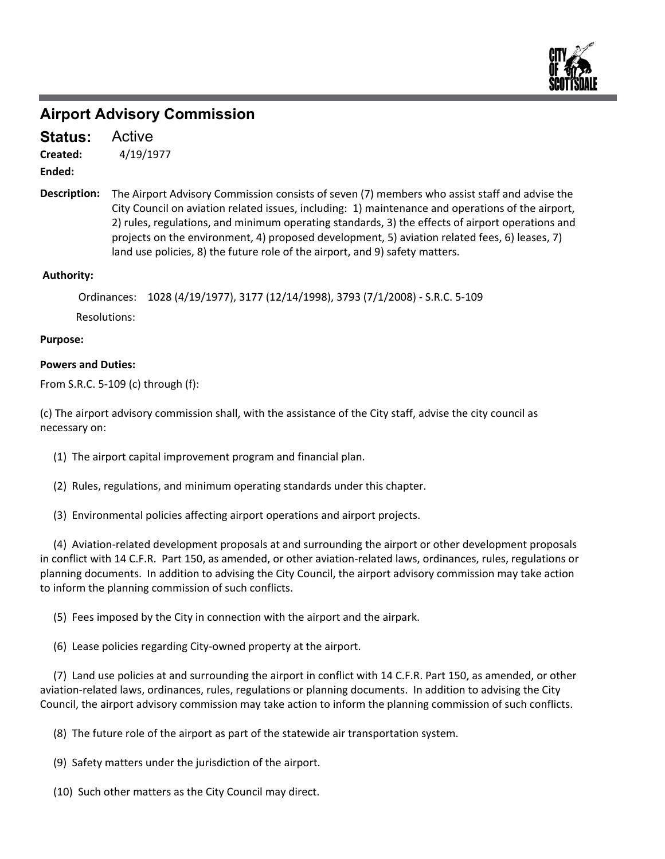

### **Airport Advisory Commission**

Active **Status:**

4/19/1977 **Created:**

**Ended:**

The Airport Advisory Commission consists of seven (7) members who assist staff and advise the City Council on aviation related issues, including: 1) maintenance and operations of the airport, 2) rules, regulations, and minimum operating standards, 3) the effects of airport operations and projects on the environment, 4) proposed development, 5) aviation related fees, 6) leases, 7) land use policies, 8) the future role of the airport, and 9) safety matters. **Description:**

#### **Authority:**

Ordinances: 1028 (4/19/1977), 3177 (12/14/1998), 3793 (7/1/2008) ‐ S.R.C. 5‐109

Resolutions:

#### **Purpose:**

#### **Powers and Duties:**

From S.R.C. 5‐109 (c) through (f):

(c) The airport advisory commission shall, with the assistance of the City staff, advise the city council as necessary on:

- (1) The airport capital improvement program and financial plan.
- (2) Rules, regulations, and minimum operating standards under this chapter.
- (3) Environmental policies affecting airport operations and airport projects.

 (4) Aviation‐related development proposals at and surrounding the airport or other development proposals in conflict with 14 C.F.R. Part 150, as amended, or other aviation‐related laws, ordinances, rules, regulations or planning documents. In addition to advising the City Council, the airport advisory commission may take action to inform the planning commission of such conflicts.

(5) Fees imposed by the City in connection with the airport and the airpark.

(6) Lease policies regarding City‐owned property at the airport.

 (7) Land use policies at and surrounding the airport in conflict with 14 C.F.R. Part 150, as amended, or other aviation‐related laws, ordinances, rules, regulations or planning documents. In addition to advising the City Council, the airport advisory commission may take action to inform the planning commission of such conflicts.

(8) The future role of the airport as part of the statewide air transportation system.

(9) Safety matters under the jurisdiction of the airport.

(10) Such other matters as the City Council may direct.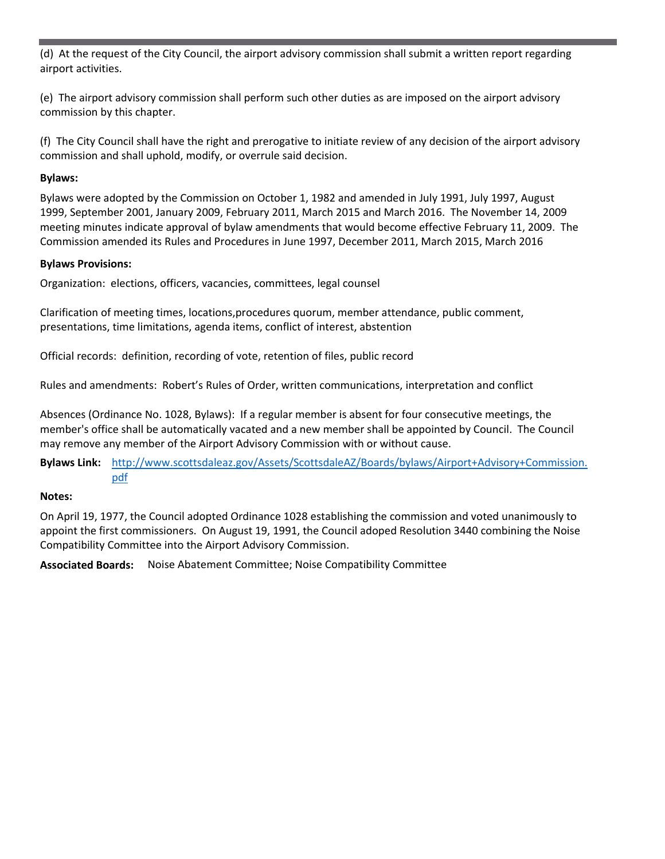(d) At the request of the City Council, the airport advisory commission shall submit a written report regarding airport activities.

(e) The airport advisory commission shall perform such other duties as are imposed on the airport advisory commission by this chapter.

(f) The City Council shall have the right and prerogative to initiate review of any decision of the airport advisory commission and shall uphold, modify, or overrule said decision.

#### **Bylaws:**

Bylaws were adopted by the Commission on October 1, 1982 and amended in July 1991, July 1997, August 1999, September 2001, January 2009, February 2011, March 2015 and March 2016. The November 14, 2009 meeting minutes indicate approval of bylaw amendments that would become effective February 11, 2009. The Commission amended its Rules and Procedures in June 1997, December 2011, March 2015, March 2016

#### **Bylaws Provisions:**

Organization: elections, officers, vacancies, committees, legal counsel

Clarification of meeting times, locations,procedures quorum, member attendance, public comment, presentations, time limitations, agenda items, conflict of interest, abstention

Official records: definition, recording of vote, retention of files, public record

Rules and amendments: Robert's Rules of Order, written communications, interpretation and conflict

Absences (Ordinance No. 1028, Bylaws): If a regular member is absent for four consecutive meetings, the member's office shall be automatically vacated and a new member shall be appointed by Council. The Council may remove any member of the Airport Advisory Commission with or without cause.

**Bylaws Link:** http://www.scottsdaleaz.gov/Assets/ScottsdaleAZ/Boards/bylaws/Airport+Advisory+Commission. pdf

#### **Notes:**

On April 19, 1977, the Council adopted Ordinance 1028 establishing the commission and voted unanimously to appoint the first commissioners. On August 19, 1991, the Council adoped Resolution 3440 combining the Noise Compatibility Committee into the Airport Advisory Commission.

**Associated Boards:** Noise Abatement Committee; Noise Compatibility Committee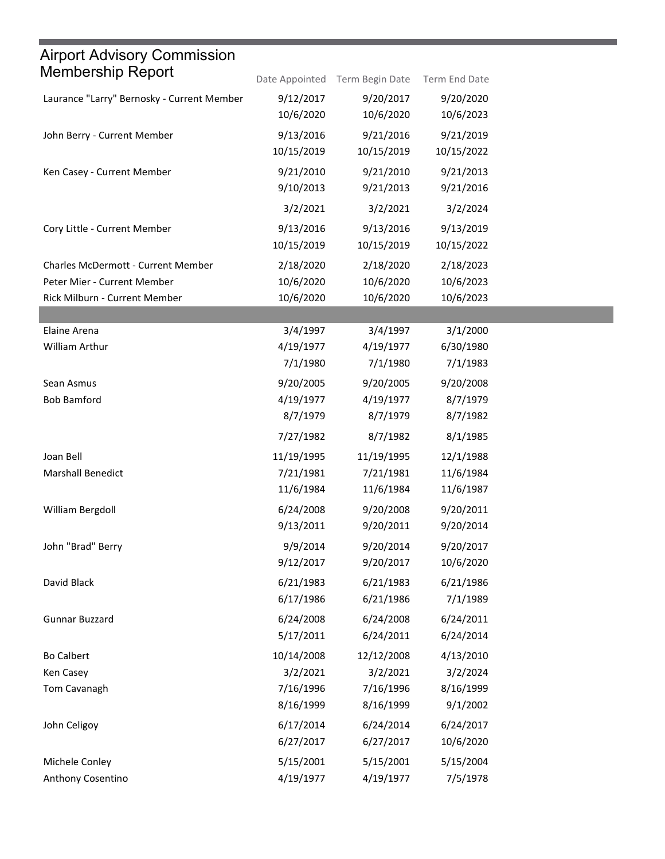| Airport Advisory Commission                |                |                 |               |
|--------------------------------------------|----------------|-----------------|---------------|
| <b>Membership Report</b>                   | Date Appointed | Term Begin Date | Term End Date |
| Laurance "Larry" Bernosky - Current Member | 9/12/2017      | 9/20/2017       | 9/20/2020     |
|                                            | 10/6/2020      | 10/6/2020       | 10/6/2023     |
| John Berry - Current Member                | 9/13/2016      | 9/21/2016       | 9/21/2019     |
|                                            | 10/15/2019     | 10/15/2019      | 10/15/2022    |
| Ken Casey - Current Member                 | 9/21/2010      | 9/21/2010       | 9/21/2013     |
|                                            | 9/10/2013      | 9/21/2013       | 9/21/2016     |
|                                            | 3/2/2021       | 3/2/2021        | 3/2/2024      |
| Cory Little - Current Member               | 9/13/2016      | 9/13/2016       | 9/13/2019     |
|                                            | 10/15/2019     | 10/15/2019      | 10/15/2022    |
| <b>Charles McDermott - Current Member</b>  | 2/18/2020      | 2/18/2020       | 2/18/2023     |
| Peter Mier - Current Member                | 10/6/2020      | 10/6/2020       | 10/6/2023     |
| Rick Milburn - Current Member              | 10/6/2020      | 10/6/2020       | 10/6/2023     |
|                                            |                |                 |               |
| Elaine Arena                               | 3/4/1997       | 3/4/1997        | 3/1/2000      |
| William Arthur                             | 4/19/1977      | 4/19/1977       | 6/30/1980     |
|                                            | 7/1/1980       | 7/1/1980        | 7/1/1983      |
| Sean Asmus                                 | 9/20/2005      | 9/20/2005       | 9/20/2008     |
| <b>Bob Bamford</b>                         | 4/19/1977      | 4/19/1977       | 8/7/1979      |
|                                            | 8/7/1979       | 8/7/1979        | 8/7/1982      |
|                                            | 7/27/1982      | 8/7/1982        | 8/1/1985      |
| Joan Bell                                  | 11/19/1995     | 11/19/1995      | 12/1/1988     |
| <b>Marshall Benedict</b>                   | 7/21/1981      | 7/21/1981       | 11/6/1984     |
|                                            | 11/6/1984      | 11/6/1984       | 11/6/1987     |
| William Bergdoll                           | 6/24/2008      | 9/20/2008       | 9/20/2011     |
|                                            | 9/13/2011      | 9/20/2011       | 9/20/2014     |
| John "Brad" Berry                          | 9/9/2014       | 9/20/2014       | 9/20/2017     |
|                                            | 9/12/2017      | 9/20/2017       | 10/6/2020     |
| David Black                                | 6/21/1983      | 6/21/1983       | 6/21/1986     |
|                                            | 6/17/1986      | 6/21/1986       | 7/1/1989      |
| <b>Gunnar Buzzard</b>                      | 6/24/2008      | 6/24/2008       | 6/24/2011     |
|                                            | 5/17/2011      | 6/24/2011       | 6/24/2014     |
| <b>Bo Calbert</b>                          | 10/14/2008     | 12/12/2008      | 4/13/2010     |
| Ken Casey                                  | 3/2/2021       | 3/2/2021        | 3/2/2024      |
| Tom Cavanagh                               | 7/16/1996      | 7/16/1996       | 8/16/1999     |
|                                            | 8/16/1999      | 8/16/1999       | 9/1/2002      |
| John Celigoy                               | 6/17/2014      | 6/24/2014       | 6/24/2017     |
|                                            | 6/27/2017      | 6/27/2017       | 10/6/2020     |
| Michele Conley                             | 5/15/2001      | 5/15/2001       | 5/15/2004     |
| Anthony Cosentino                          | 4/19/1977      | 4/19/1977       | 7/5/1978      |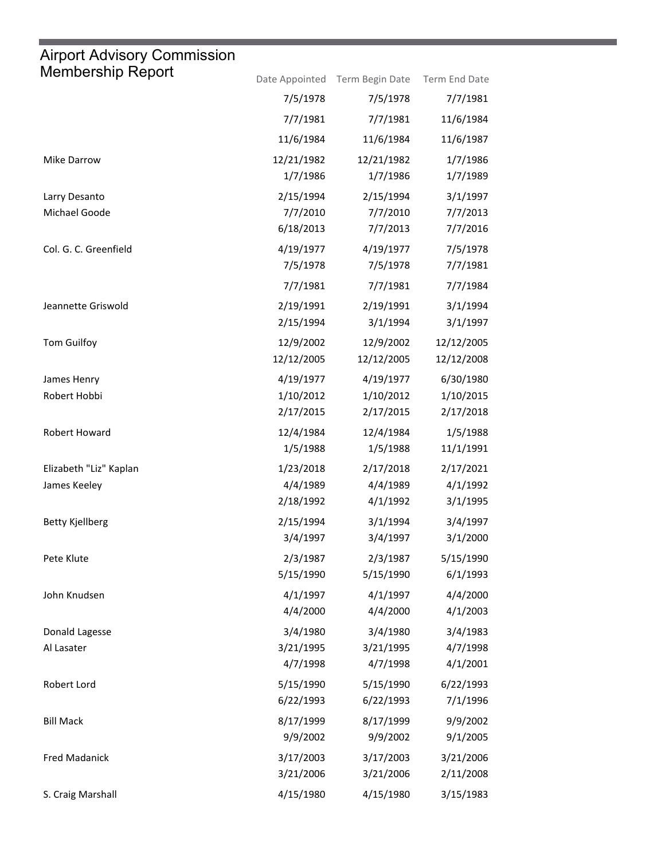## Airport Advisory Commission

ш

| Membership Report      |            | Date Appointed Term Begin Date | Term End Date |
|------------------------|------------|--------------------------------|---------------|
|                        | 7/5/1978   | 7/5/1978                       | 7/7/1981      |
|                        | 7/7/1981   | 7/7/1981                       | 11/6/1984     |
|                        | 11/6/1984  | 11/6/1984                      | 11/6/1987     |
| Mike Darrow            | 12/21/1982 | 12/21/1982                     | 1/7/1986      |
|                        | 1/7/1986   | 1/7/1986                       | 1/7/1989      |
| Larry Desanto          | 2/15/1994  | 2/15/1994                      | 3/1/1997      |
| Michael Goode          | 7/7/2010   | 7/7/2010                       | 7/7/2013      |
|                        | 6/18/2013  | 7/7/2013                       | 7/7/2016      |
| Col. G. C. Greenfield  | 4/19/1977  | 4/19/1977                      | 7/5/1978      |
|                        | 7/5/1978   | 7/5/1978                       | 7/7/1981      |
|                        | 7/7/1981   | 7/7/1981                       | 7/7/1984      |
| Jeannette Griswold     | 2/19/1991  | 2/19/1991                      | 3/1/1994      |
|                        | 2/15/1994  | 3/1/1994                       | 3/1/1997      |
| Tom Guilfoy            | 12/9/2002  | 12/9/2002                      | 12/12/2005    |
|                        | 12/12/2005 | 12/12/2005                     | 12/12/2008    |
| James Henry            | 4/19/1977  | 4/19/1977                      | 6/30/1980     |
| Robert Hobbi           | 1/10/2012  | 1/10/2012                      | 1/10/2015     |
|                        | 2/17/2015  | 2/17/2015                      | 2/17/2018     |
| Robert Howard          | 12/4/1984  | 12/4/1984                      | 1/5/1988      |
|                        | 1/5/1988   | 1/5/1988                       | 11/1/1991     |
| Elizabeth "Liz" Kaplan | 1/23/2018  | 2/17/2018                      | 2/17/2021     |
| James Keeley           | 4/4/1989   | 4/4/1989                       | 4/1/1992      |
|                        | 2/18/1992  | 4/1/1992                       | 3/1/1995      |
| <b>Betty Kjellberg</b> | 2/15/1994  | 3/1/1994                       | 3/4/1997      |
|                        | 3/4/1997   | 3/4/1997                       | 3/1/2000      |
| Pete Klute             | 2/3/1987   | 2/3/1987                       | 5/15/1990     |
|                        | 5/15/1990  | 5/15/1990                      | 6/1/1993      |
| John Knudsen           | 4/1/1997   | 4/1/1997                       | 4/4/2000      |
|                        | 4/4/2000   | 4/4/2000                       | 4/1/2003      |
| Donald Lagesse         | 3/4/1980   | 3/4/1980                       | 3/4/1983      |
| Al Lasater             | 3/21/1995  | 3/21/1995                      | 4/7/1998      |
|                        | 4/7/1998   | 4/7/1998                       | 4/1/2001      |
| Robert Lord            | 5/15/1990  | 5/15/1990                      | 6/22/1993     |
|                        | 6/22/1993  | 6/22/1993                      | 7/1/1996      |
| <b>Bill Mack</b>       | 8/17/1999  | 8/17/1999                      | 9/9/2002      |
|                        | 9/9/2002   | 9/9/2002                       | 9/1/2005      |
| <b>Fred Madanick</b>   | 3/17/2003  | 3/17/2003                      | 3/21/2006     |
|                        | 3/21/2006  | 3/21/2006                      | 2/11/2008     |
| S. Craig Marshall      | 4/15/1980  | 4/15/1980                      | 3/15/1983     |